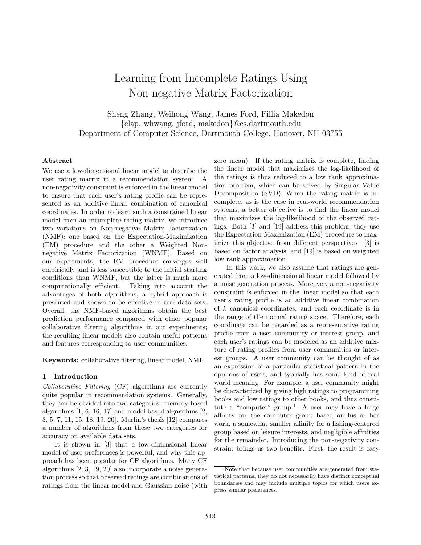# Learning from Incomplete Ratings Using Non-negative Matrix Factorization

Sheng Zhang, Weihong Wang, James Ford, Fillia Makedon {clap, whwang, jford, makedon}@cs.dartmouth.edu Department of Computer Science, Dartmouth College, Hanover, NH 03755

# Abstract

We use a low-dimensional linear model to describe the user rating matrix in a recommendation system. A non-negativity constraint is enforced in the linear model to ensure that each user's rating profile can be represented as an additive linear combination of canonical coordinates. In order to learn such a constrained linear model from an incomplete rating matrix, we introduce two variations on Non-negative Matrix Factorization (NMF): one based on the Expectation-Maximization (EM) procedure and the other a Weighted Nonnegative Matrix Factorization (WNMF). Based on our experiments, the EM procedure converges well empirically and is less susceptible to the initial starting conditions than WNMF, but the latter is much more computationally efficient. Taking into account the advantages of both algorithms, a hybrid approach is presented and shown to be effective in real data sets. Overall, the NMF-based algorithms obtain the best prediction performance compared with other popular collaborative filtering algorithms in our experiments; the resulting linear models also contain useful patterns and features corresponding to user communities.

Keywords: collaborative filtering, linear model, NMF.

# 1 Introduction

Collaborative Filtering (CF) algorithms are currently quite popular in recommendation systems. Generally, they can be divided into two categories: memory based algorithms  $[1, 6, 16, 17]$  and model based algorithms  $[2, 6]$ 3, 5, 7, 11, 15, 18, 19, 20]. Marlin's thesis [12] compares a number of algorithms from these two categories for accuracy on available data sets.

It is shown in [3] that a low-dimensional linear model of user preferences is powerful, and why this approach has been popular for CF algorithms. Many CF algorithms [2, 3, 19, 20] also incorporate a noise generation process so that observed ratings are combinations of ratings from the linear model and Gaussian noise (with

zero mean). If the rating matrix is complete, finding the linear model that maximizes the log-likelihood of the ratings is thus reduced to a low rank approximation problem, which can be solved by Singular Value Decomposition (SVD). When the rating matrix is incomplete, as is the case in real-world recommendation systems, a better objective is to find the linear model that maximizes the log-likelihood of the observed ratings. Both [3] and [19] address this problem; they use the Expectation-Maximization (EM) procedure to maximize this objective from different perspectives—[3] is based on factor analysis, and [19] is based on weighted low rank approximation.

In this work, we also assume that ratings are generated from a low-dimensional linear model followed by a noise generation process. Moreover, a non-negativity constraint is enforced in the linear model so that each user's rating profile is an additive linear combination of k canonical coordinates, and each coordinate is in the range of the normal rating space. Therefore, each coordinate can be regarded as a representative rating profile from a user community or interest group, and each user's ratings can be modeled as an additive mixture of rating profiles from user communities or interest groups. A user community can be thought of as an expression of a particular statistical pattern in the opinions of users, and typically has some kind of real world meaning. For example, a user community might be characterized by giving high ratings to programming books and low ratings to other books, and thus constitute a "computer" group.<sup>1</sup> A user may have a large affinity for the computer group based on his or her work, a somewhat smaller affinity for a fishing-centered group based on leisure interests, and negligible affinities for the remainder. Introducing the non-negativity constraint brings us two benefits. First, the result is easy

 $\overline{N_{\text{Note}}}$  that because user communities are generated from statistical patterns, they do not necessarily have distinct conceptual boundaries and may include multiple topics for which users express similar preferences.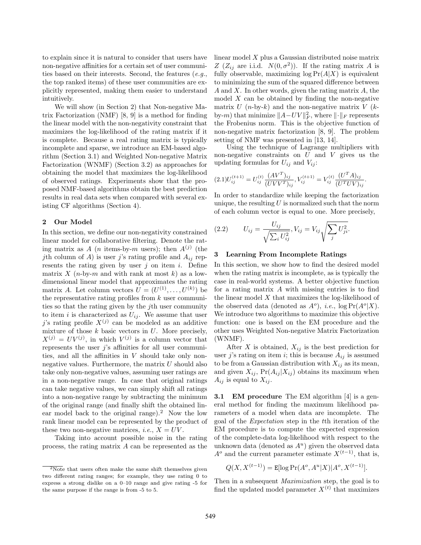to explain since it is natural to consider that users have non-negative affinities for a certain set of user communities based on their interests. Second, the features (e.g., the top ranked items) of these user communities are explicitly represented, making them easier to understand intuitively.

We will show (in Section 2) that Non-negative Matrix Factorization (NMF) [8, 9] is a method for finding the linear model with the non-negativity constraint that maximizes the log-likelihood of the rating matrix if it is complete. Because a real rating matrix is typically incomplete and sparse, we introduce an EM-based algorithm (Section 3.1) and Weighted Non-negative Matrix Factorization (WNMF) (Section 3.2) as approaches for obtaining the model that maximizes the log-likelihood of observed ratings. Experiments show that the proposed NMF-based algorithms obtain the best prediction results in real data sets when compared with several existing CF algorithms (Section 4).

#### 2 Our Model

In this section, we define our non-negativity constrained linear model for collaborative filtering. Denote the rating matrix as A (*n* items-by-*m* users); then  $A^{(j)}$  (the jth column of A) is user j's rating profile and  $A_{ij}$  represents the rating given by user  $j$  on item  $i$ . Define matrix X (n-by-m and with rank at most k) as a lowdimensional linear model that approximates the rating matrix A. Let column vectors  $U = (U^{(1)}, \ldots, U^{(k)})$  be the representative rating profiles from  $k$  user communities so that the rating given by the jth user community to item i is characterized as  $U_{ij}$ . We assume that user j's rating profile  $X^{(j)}$  can be modeled as an additive mixture of those  $k$  basic vectors in  $U$ . More precisely,  $X^{(j)} = UV^{(j)}$ , in which  $V^{(j)}$  is a column vector that represents the user  $j$ 's affinities for all user communities, and all the affinities in  $V$  should take only nonnegative values. Furthermore, the matrix  $U$  should also take only non-negative values, assuming user ratings are in a non-negative range. In case that original ratings can take negative values, we can simply shift all ratings into a non-negative range by subtracting the minimum of the original range (and finally shift the obtained linear model back to the original range).<sup>2</sup> Now the low rank linear model can be represented by the product of these two non-negative matrices, *i.e.*,  $X = UV$ .

Taking into account possible noise in the rating process, the rating matrix A can be represented as the linear model X plus a Gaussian distributed noise matrix Z  $(Z_{ij}$  are i.i.d.  $N(0, \sigma^2)$ ). If the rating matrix A is fully observable, maximizing  $log Pr(A|X)$  is equivalent to minimizing the sum of the squared difference between A and X. In other words, given the rating matrix  $A$ , the model  $X$  can be obtained by finding the non-negative matrix U  $(n-by-k)$  and the non-negative matrix V  $(k$ by-*m*) that minimize  $||A-UV||_F^2$ , where  $||\cdot||_F$  represents the Frobenius norm. This is the objective function of non-negative matrix factorization [8, 9]. The problem setting of NMF was presented in [13, 14].

Using the technique of Lagrange multipliers with non-negative constraints on  $U$  and  $V$  gives us the updating formulas for  $U_{ij}$  and  $V_{ij}$ :

$$
(2.1)U_{ij}^{(t+1)} = U_{ij}^{(t)} \frac{(AV^T)_{ij}}{(UVV^T)_{ij}}, V_{ij}^{(t+1)} = V_{ij}^{(t)} \frac{(U^T A)_{ij}}{(U^T UV)_{ij}}.
$$

In order to standardize while keeping the factorization unique, the resulting  $U$  is normalized such that the norm of each column vector is equal to one. More precisely,

(2.2) 
$$
U_{ij} = \frac{U_{ij}}{\sqrt{\sum_i U_{ij}^2}}, V_{ij} = V_{ij} \sqrt{\sum_j U_{ji}^2}.
$$

### 3 Learning From Incomplete Ratings

In this section, we show how to find the desired model when the rating matrix is incomplete, as is typically the case in real-world systems. A better objective function for a rating matrix A with missing entries is to find the linear model  $X$  that maximizes the log-likelihood of the observed data (denoted as  $A^o$ ), *i.e.*,  $\log \Pr(A^o|X)$ . We introduce two algorithms to maximize this objective function: one is based on the EM procedure and the other uses Weighted Non-negative Matrix Factorization (WNMF).

After X is obtained,  $X_{ij}$  is the best prediction for user j's rating on item i; this is because  $A_{ij}$  is assumed to be from a Gaussian distribution with  $X_{ij}$  as its mean, and given  $X_{ij}$ ,  $Pr(A_{ij} | X_{ij})$  obtains its maximum when  $A_{ij}$  is equal to  $X_{ij}$ .

**3.1 EM procedure** The EM algorithm [4] is a general method for finding the maximum likelihood parameters of a model when data are incomplete. The goal of the Expectation step in the tth iteration of the EM procedure is to compute the expected expression of the complete-data log-likelihood with respect to the unknown data (denoted as  $A<sup>u</sup>$ ) given the observed data  $A^o$  and the current parameter estimate  $X^{(t-1)}$ , that is,

$$
Q(X, X^{(t-1)}) = \mathbb{E}[\log \Pr(A^o, A^u | X) | A^o, X^{(t-1)}].
$$

Then in a subsequent *Maximization* step, the goal is to find the updated model parameter  $X^{(t)}$  that maximizes

 $2\overline{Note}$  that users often make the same shift themselves given two different rating ranges; for example, they use rating 0 to express a strong dislike on a 0–10 range and give rating -5 for the same purpose if the range is from -5 to 5.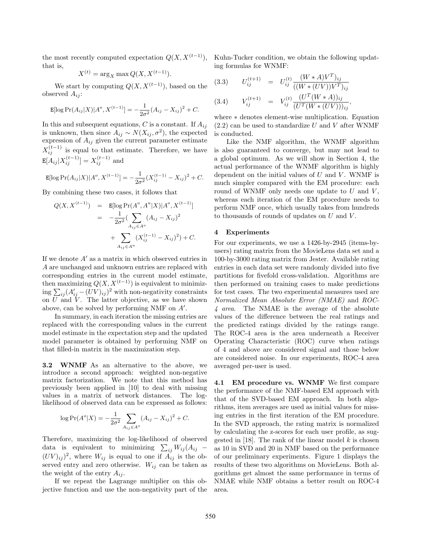the most recently computed expectation  $Q(X, X^{(t-1)})$ , that is,

$$
X^{(t)} = \arg_X \max Q(X, X^{(t-1)}).
$$

We start by computing  $Q(X, X^{(t-1)})$ , based on the observed  $A_{ij}$ :

$$
\mathbb{E}[\log \Pr(A_{ij}|X)|A^o, X^{(t-1)}] = -\frac{1}{2\sigma^2}(A_{ij} - X_{ij})^2 + C.
$$

In this and subsequent equations, C is a constant. If  $A_{ij}$ is unknown, then since  $A_{ij} \sim N(X_{ij}, \sigma^2)$ , the expected expression of  $A_{ij}$  given the current parameter estimate  $X_{ij}^{(t-1)}$  is equal to that estimate. Therefore, we have  $\mathbb{E}[A_{ij}|X_{ij}^{(t-1)}] = X_{ij}^{(t-1)}$  and

$$
\mathbb{E}[\log \Pr(A_{ij}|X)|A^o, X^{(t-1)}] = -\frac{1}{2\sigma^2} (X_{ij}^{(t-1)} - X_{ij})^2 + C.
$$

By combining these two cases, it follows that

$$
Q(X, X^{(t-1)}) = \mathbb{E}[\log \Pr(A^o, A^u | X) | A^o, X^{(t-1)}]
$$
  
= 
$$
-\frac{1}{2\sigma^2} (\sum_{A_{ij} \in A^o} (A_{ij} - X_{ij})^2
$$
  
+ 
$$
\sum_{A_{ij} \in A^u} (X_{ij}^{(t-1)} - X_{ij})^2) + C.
$$

If we denote  $A'$  as a matrix in which observed entries in A are unchanged and unknown entries are replaced with corresponding entries in the current model estimate, then maximizing  $Q(X, X^{(t-1)})$  is equivalent to minimizing  $\sum_{ij} (A'_{ij} - (\overline{UV})_{ij})^2$  with non-negativity constraints on  $\overline{U}$  and  $\overline{V}$ . The latter objective, as we have shown above, can be solved by performing NMF on  $A'$ .

In summary, in each iteration the missing entries are replaced with the corresponding values in the current model estimate in the expectation step and the updated model parameter is obtained by performing NMF on that filled-in matrix in the maximization step.

3.2 WNMF As an alternative to the above, we introduce a second approach: weighted non-negative matrix factorization. We note that this method has previously been applied in [10] to deal with missing values in a matrix of network distances. The loglikelihood of observed data can be expressed as follows:

$$
\log \Pr(A^o|X) = -\frac{1}{2\sigma^2} \sum_{A_{ij} \in A^o} (A_{ij} - X_{ij})^2 + C.
$$

Therefore, maximizing the log-likelihood of observed data is equivalent to minimizing  $\sum_{ij} W_{ij} (A_{ij} (UV)_{ij}$ <sup>2</sup>, where  $W_{ij}$  is equal to one if  $A_{ij}$  is the observed entry and zero otherwise.  $W_{ij}$  can be taken as the weight of the entry  $A_{ij}$ .

If we repeat the Lagrange multiplier on this objective function and use the non-negativity part of the Kuhn-Tucker condition, we obtain the following updating formulas for WNMF:

(3.3) 
$$
U_{ij}^{(t+1)} = U_{ij}^{(t)} \frac{(W*A)V^{T})_{ij}}{((W*(UV))V^{T})_{ij}}
$$
  
(3.4) 
$$
V_{ij}^{(t+1)} = V_{ij}^{(t)} \frac{(U^{T}(W*A))_{ij}}{(U^{T}(W*(UV)))_{ij}},
$$

where ∗ denotes element-wise multiplication. Equation  $(2.2)$  can be used to standardize U and V after WNMF is conducted.

Like the NMF algorithm, the WNMF algorithm is also guaranteed to converge, but may not lead to a global optimum. As we will show in Section 4, the actual performance of the WNMF algorithm is highly dependent on the initial values of  $U$  and  $V$ . WNMF is much simpler compared with the EM procedure: each round of WNMF only needs one update to  $U$  and  $V$ , whereas each iteration of the EM procedure needs to perform NMF once, which usually takes from hundreds to thousands of rounds of updates on  $U$  and  $V$ .

# 4 Experiments

For our experiments, we use a 1426-by-2945 (items-byusers) rating matrix from the MovieLens data set and a 100-by-3000 rating matrix from Jester. Available rating entries in each data set were randomly divided into five partitions for fivefold cross-validation. Algorithms are then performed on training cases to make predictions for test cases. The two experimental measures used are Normalized Mean Absolute Error (NMAE) and ROC-4 area. The NMAE is the average of the absolute values of the difference between the real ratings and the predicted ratings divided by the ratings range. The ROC-4 area is the area underneath a Receiver Operating Characteristic (ROC) curve when ratings of 4 and above are considered signal and those below are considered noise. In our experiments, ROC-4 area averaged per-user is used.

4.1 EM procedure vs. WNMF We first compare the performance of the NMF-based EM approach with that of the SVD-based EM approach. In both algorithms, item averages are used as initial values for missing entries in the first iteration of the EM procedure. In the SVD approach, the rating matrix is normalized by calculating the z-scores for each user profile, as suggested in [18]. The rank of the linear model  $k$  is chosen as 10 in SVD and 20 in NMF based on the performance of our preliminary experiments. Figure 1 displays the results of these two algorithms on MovieLens. Both algorithms get almost the same performance in terms of NMAE while NMF obtains a better result on ROC-4 area.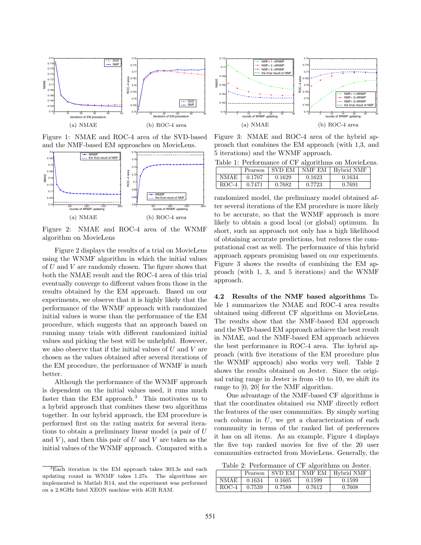

Figure 1: NMAE and ROC-4 area of the SVD-based and the NMF-based EM approaches on MovieLens.



Figure 2: NMAE and ROC-4 area of the WNMF algorithm on MovieLens

Figure 2 displays the results of a trial on MovieLens using the WNMF algorithm in which the initial values of  $U$  and  $V$  are randomly chosen. The figure shows that both the NMAE result and the ROC-4 area of this trial eventually converge to different values from those in the results obtained by the EM approach. Based on our experiments, we observe that it is highly likely that the performance of the WNMF approach with randomized initial values is worse than the performance of the EM procedure, which suggests that an approach based on running many trials with different randomized initial values and picking the best will be unhelpful. However, we also observe that if the initial values of  $U$  and  $V$  are chosen as the values obtained after several iterations of the EM procedure, the performance of WNMF is much better.

Although the performance of the WNMF approach is dependent on the initial values used, it runs much faster than the EM approach.<sup>3</sup> This motivates us to a hybrid approach that combines these two algorithms together. In our hybrid approach, the EM procedure is performed first on the rating matrix for several iterations to obtain a preliminary linear model (a pair of U and  $V$ ), and then this pair of  $U$  and  $V$  are taken as the initial values of the WNMF approach. Compared with a



Figure 3: NMAE and ROC-4 area of the hybrid approach that combines the EM approach (with 1,3, and 5 iterations) and the WNMF approach.

|         | Pearson | <b>SVD EM</b> | NMF EM | Hybrid NMF |
|---------|---------|---------------|--------|------------|
| NMAE    | 0.1707  | 0.1629        | 0.1623 | 0.1634     |
| $ROC-4$ | 0.7471  | 0.7682        | 0.7723 | 0.7691     |

randomized model, the preliminary model obtained after several iterations of the EM procedure is more likely to be accurate, so that the WNMF approach is more likely to obtain a good local (or global) optimum. In short, such an approach not only has a high likelihood of obtaining accurate predictions, but reduces the computational cost as well. The performance of this hybrid approach appears promising based on our experiments. Figure 3 shows the results of combining the EM approach (with 1, 3, and 5 iterations) and the WNMF approach.

4.2 Results of the NMF based algorithms Table 1 summarizes the NMAE and ROC-4 area results obtained using different CF algorithms on MovieLens. The results show that the NMF-based EM approach and the SVD-based EM approach achieve the best result in NMAE, and the NMF-based EM approach achieves the best performance in ROC-4 area. The hybrid approach (with five iterations of the EM procedure plus the WNMF approach) also works very well. Table 2 shows the results obtained on Jester. Since the original rating range in Jester is from -10 to 10, we shift its range to [0, 20] for the NMF algorithm.

One advantage of the NMF-based CF algorithms is that the coordinates obtained via NMF directly reflect the features of the user communities. By simply sorting each column in  $U$ , we get a characterization of each community in terms of the ranked list of preferences it has on all items. As an example, Figure 4 displays the five top ranked movies for five of the 20 user communities extracted from MovieLens. Generally, the

Table 2: Performance of CF algorithms on Jester.

|         | Pearson | <b>SVD EM</b> | NMF EM | Hybrid NMF |
|---------|---------|---------------|--------|------------|
| NMAE    | 0.1634  | 0.1605        | 0.1599 | 0.1599     |
| $ROC-4$ | 0.7539  | 0.7588        | 0.7612 | 0.7608     |

 $3\overline{\text{Each}}$  iteration in the EM approach takes 303.3s and each updating round in WNMF takes 1.27s. The algorithms are implemented in Matlab R14, and the experiment was performed on a 2.8GHz Intel XEON machine with 4GB RAM.